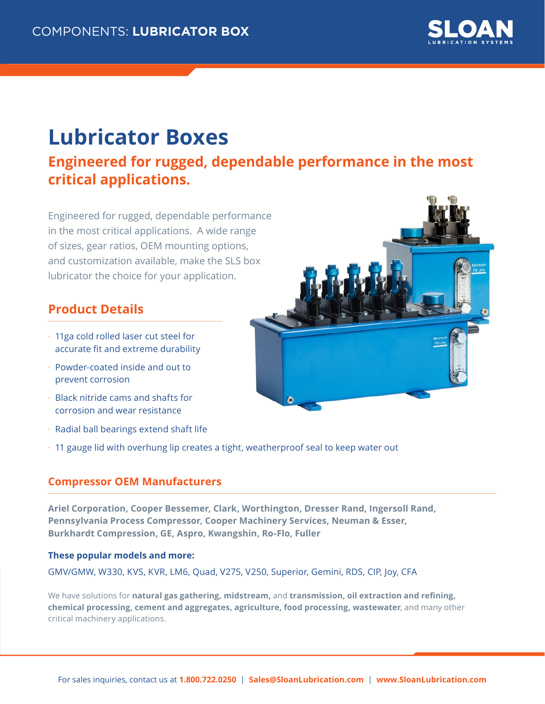

## **Lubricator Boxes**

### **Engineered for rugged, dependable performance in the most critical applications.**

Engineered for rugged, dependable performance in the most critical applications. A wide range of sizes, gear ratios, OEM mounting options, and customization available, make the SLS box lubricator the choice for your application.

#### **Product Details**

- 11ga cold rolled laser cut steel for accurate fit and extreme durability
- Powder-coated inside and out to prevent corrosion
- Black nitride cams and shafts for corrosion and wear resistance
- Radial ball bearings extend shaft life
- 11 gauge lid with overhung lip creates a tight, weatherproof seal to keep water out

#### **Compressor OEM Manufacturers**

**Ariel Corporation, Cooper Bessemer, Clark, Worthington, Dresser Rand, Ingersoll Rand, Pennsylvania Process Compressor, Cooper Machinery Services, Neuman & Esser, Burkhardt Compression, GE, Aspro, Kwangshin, Ro-Flo, Fuller** 

#### **These popular models and more:**

GMV/GMW, W330, KVS, KVR, LM6, Quad, V275, V250, Superior, Gemini, RDS, CIP, Joy, CFA

We have solutions for **natural gas gathering, midstream,** and **transmission, oil extraction and refining, chemical processing, cement and aggregates, agriculture, food processing, wastewater**, and many other critical machinery applications.

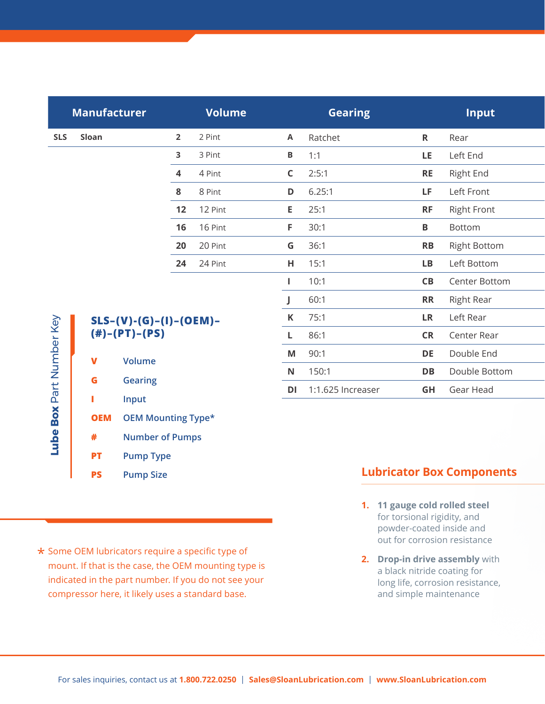|                 |                                                                      |                                                                                    | Volume  |                                                                                                            | <b>Gearing</b>                      |                                                                                           | <b>Input</b>        |
|-----------------|----------------------------------------------------------------------|------------------------------------------------------------------------------------|---------|------------------------------------------------------------------------------------------------------------|-------------------------------------|-------------------------------------------------------------------------------------------|---------------------|
| Sloan           |                                                                      | $2^{\circ}$                                                                        | 2 Pint  |                                                                                                            |                                     | $\mathsf{R}$                                                                              | Rear                |
|                 |                                                                      | $\overline{\mathbf{3}}$                                                            | 3 Pint  |                                                                                                            |                                     | LE                                                                                        | Left End            |
|                 |                                                                      | $\overline{\mathbf{4}}$                                                            | 4 Pint  |                                                                                                            | 2:5:1                               | <b>RE</b>                                                                                 | <b>Right End</b>    |
|                 |                                                                      | 8                                                                                  | 8 Pint  |                                                                                                            |                                     | LF.                                                                                       | Left Front          |
|                 |                                                                      |                                                                                    |         |                                                                                                            | 25:1                                | <b>RF</b>                                                                                 | <b>Right Front</b>  |
|                 |                                                                      |                                                                                    | 16 Pint | F.                                                                                                         | 30:1                                | $\mathbf B$                                                                               | Bottom              |
|                 |                                                                      | 20                                                                                 | 20 Pint |                                                                                                            | 36:1                                | RB                                                                                        | <b>Right Bottom</b> |
|                 |                                                                      | 24                                                                                 | 24 Pint |                                                                                                            |                                     | LB                                                                                        | Left Bottom         |
|                 |                                                                      |                                                                                    |         |                                                                                                            | 10:1                                | CB                                                                                        | Center Bottom       |
|                 |                                                                      |                                                                                    |         |                                                                                                            | 60:1                                | <b>RR</b>                                                                                 | <b>Right Rear</b>   |
| Part Number Key |                                                                      |                                                                                    |         |                                                                                                            | 75:1                                | <b>LR</b>                                                                                 | Left Rear           |
|                 |                                                                      |                                                                                    |         |                                                                                                            | 86:1                                | <b>CR</b>                                                                                 | Center Rear         |
|                 |                                                                      |                                                                                    |         |                                                                                                            | 90:1                                | DE                                                                                        | Double End          |
|                 |                                                                      |                                                                                    |         |                                                                                                            | 150:1                               | DB                                                                                        | Double Bottom       |
|                 |                                                                      |                                                                                    |         |                                                                                                            | 1:1.625 Increaser                   | GH                                                                                        | Gear Head           |
|                 |                                                                      |                                                                                    |         |                                                                                                            |                                     |                                                                                           |                     |
|                 |                                                                      |                                                                                    |         |                                                                                                            |                                     |                                                                                           |                     |
|                 | Derivative Territoria                                                |                                                                                    |         |                                                                                                            |                                     |                                                                                           |                     |
|                 | <b>SLS</b><br>$\mathbf v$<br>G<br><b>OEM</b><br>#<br><b>START OF</b> | <b>Manufacturer</b><br>$(#)-(PT)-(PS)$<br><b>Volume</b><br><b>Gearing</b><br>Input |         | <b>12</b> 12 Pint<br>16<br>$SLS-(V)-(G)-(I)-(OEM)-$<br><b>OEM Mounting Type*</b><br><b>Number of Pumps</b> | $\mathsf{K}$<br>M<br>N<br><b>DI</b> | <b>A</b> Ratchet<br>$B = 1:1$<br>$\mathsf{C}$<br>$D = 6.25:1$<br>$E =$<br>G<br>$H = 15:1$ |                     |

# **OEM OEM Mounting Type\* # Number of Pumps PT Pump Type PS Pump Size**

 $\bigstar$  Some OEM lubricators require a specific type of mount. If that is the case, the OEM mounting type is indicated in the part number. If you do not see your compressor here, it likely uses a standard base.

#### **Lubricator Box Components**

- **1. 11 gauge cold rolled steel** for torsional rigidity, and powder-coated inside and out for corrosion resistance
- **2. Drop-in drive assembly** with a black nitride coating for long life, corrosion resistance, and simple maintenance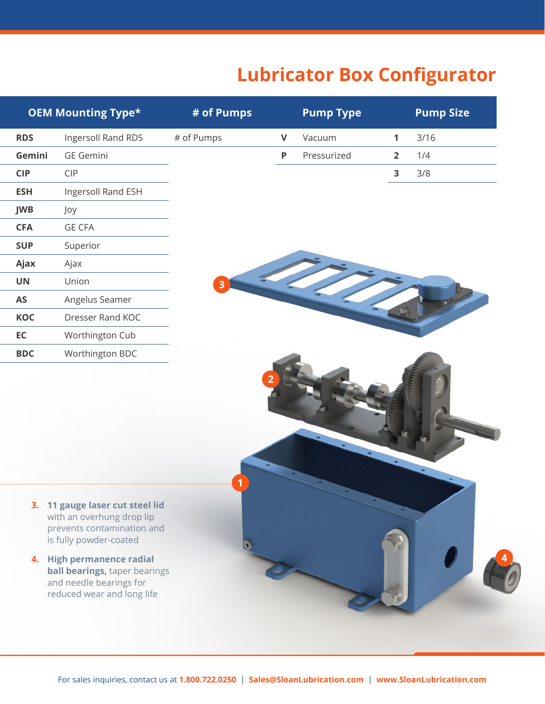## **Lubricator Box Configurator**

|            | <b>OEM Mounting Type*</b>                                                                                                                                                                 | # of Pumps |   | <b>Pump Type</b> |              | <b>Pump Size</b> |
|------------|-------------------------------------------------------------------------------------------------------------------------------------------------------------------------------------------|------------|---|------------------|--------------|------------------|
| <b>RDS</b> | Ingersoll Rand RDS                                                                                                                                                                        | # of Pumps | V | Vacuum           | $\mathbf{1}$ | 3/16             |
| Gemini     | <b>GE Gemini</b>                                                                                                                                                                          |            | P | Pressurized      |              | $2 \t1/4$        |
| <b>CIP</b> | CIP                                                                                                                                                                                       |            |   |                  |              | $3 \t3/8$        |
| <b>ESH</b> | Ingersoll Rand ESH                                                                                                                                                                        |            |   |                  |              |                  |
| JWB        | Joy                                                                                                                                                                                       |            |   |                  |              |                  |
| <b>CFA</b> | <b>GE CFA</b>                                                                                                                                                                             |            |   |                  |              |                  |
| <b>SUP</b> | Superior                                                                                                                                                                                  |            |   |                  |              |                  |
| Ajax       | Ajax                                                                                                                                                                                      |            |   |                  |              |                  |
| <b>UN</b>  | Union                                                                                                                                                                                     |            |   |                  |              |                  |
| <b>AS</b>  | Angelus Seamer                                                                                                                                                                            |            |   |                  |              |                  |
| KOC        | Dresser Rand KOC                                                                                                                                                                          |            |   |                  |              |                  |
| EC         | Worthington Cub                                                                                                                                                                           |            |   |                  |              |                  |
| <b>BDC</b> | Worthington BDC                                                                                                                                                                           |            |   |                  |              |                  |
|            |                                                                                                                                                                                           |            |   |                  |              |                  |
|            | 3. 11 gauge laser cut steel lid<br>with an overhung drop lip<br>prevents contamination and<br>is fully powder-coated<br>4. High permanence radial<br><b>ball bearings, taper bearings</b> |            |   |                  |              |                  |
|            | and needle bearings for<br>reduced wear and long life                                                                                                                                     |            |   |                  |              |                  |